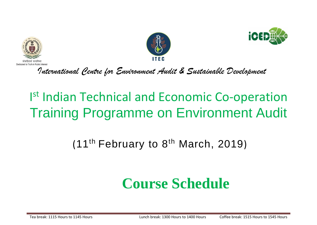





*International Centre for Environment Audit & Sustainable Development*

# Ist Indian Technical and Economic Co-operation Training Programme on Environment Audit

### (11<sup>th</sup> February to 8<sup>th</sup> March, 2019)

## **Course Schedule**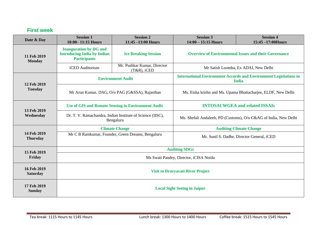#### **First week**

| Date & Day                     | <b>Session 1</b><br>10:00-11:15 Hours                                                      | <b>Session 2</b><br>$11:45 - 13:00$ Hours      | <b>Session 3</b><br>$14:00 - 15:15$ Hours                                                | <b>Session 4</b><br>$15:45 - 17:00$ Hours |
|--------------------------------|--------------------------------------------------------------------------------------------|------------------------------------------------|------------------------------------------------------------------------------------------|-------------------------------------------|
| 11 Feb 2019<br><b>Monday</b>   | <b>Inauguration by DG and</b><br><b>Introducing India by Indian</b><br><b>Participants</b> | <b>Ice Breaking Session</b>                    | <b>Overview of Environmental Issues and their Governance</b>                             |                                           |
|                                | iCED Auditorium                                                                            | Mr. Pushkar Kumar, Director<br>$(T&R)$ , iCED  | Mr Satish Loomba, Ex ADAI, New Delhi                                                     |                                           |
| 12 Feb 2019<br><b>Tuesday</b>  | <b>Environment Audit</b>                                                                   |                                                | <b>International Environment Accords and Environment Legislations in</b><br><b>India</b> |                                           |
|                                |                                                                                            | Mr Arun Kumar, DAG, O/o PAG (G&SSA), Rajasthan | Ms. Eisha krishn and Ms. Upama Bhattacharjee, ELDF, New Delhi                            |                                           |
| 13 Feb 2019<br>Wednesday       | <b>Use of GIS and Remote Sensing in Environment Audit</b>                                  |                                                | <b>INTOSAI WGEA and related ISSAIs</b>                                                   |                                           |
|                                | Dr. T. V. Ramachandra, Indian Institute of Science (IISC),<br>Bengaluru                    |                                                | Ms. Shefali Andaleeb, PD (Customs), O/o C&AG of India, New Delhi                         |                                           |
| 14 Feb 2019<br><b>Thursday</b> | <b>Climate Change</b>                                                                      |                                                | <b>Auditing Climate Change</b>                                                           |                                           |
|                                | Mr C B Ramkumar, Founder, Green Dreams, Bengaluru                                          |                                                | Mr. Sunil S. Dadhe, Director General, iCED                                               |                                           |
| 15 Feb 2019                    | <b>Auditing SDGs</b>                                                                       |                                                |                                                                                          |                                           |
| Friday                         | Ms Swati Pandey, Director, iCISA Noida                                                     |                                                |                                                                                          |                                           |
| 16 Feb 2019<br><b>Saturday</b> | <b>Visit to Dravyavati River Project</b>                                                   |                                                |                                                                                          |                                           |
| 17 Feb 2019<br><b>Sunday</b>   | <b>Local Sight Seeing in Jaipur</b>                                                        |                                                |                                                                                          |                                           |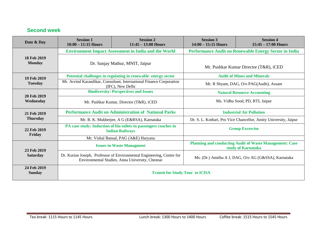#### **Second week**

| Date & Day                          | <b>Session 1</b><br>$10:00 - 11:15$ Hours                                                | <b>Session 2</b><br>$11:45 - 13:00$ Hours                                                                                | <b>Session 3</b><br>$14:00 - 15:15$ Hours                                            | <b>Session 4</b><br>$15:45 - 17:00$ Hours |
|-------------------------------------|------------------------------------------------------------------------------------------|--------------------------------------------------------------------------------------------------------------------------|--------------------------------------------------------------------------------------|-------------------------------------------|
|                                     | <b>Environment Impact Assessment in India and the World</b>                              |                                                                                                                          | Performance Audit on Renewable Energy Sector in India                                |                                           |
| <b>18 Feb 2019</b><br><b>Monday</b> | Dr. Sanjay Mathur, MNIT, Jaipur                                                          |                                                                                                                          | Mr. Pushkar Kumar Director (T&R), iCED                                               |                                           |
| 19 Feb 2019                         | Potential challenges in regulating in renewable energy sector                            |                                                                                                                          | <b>Audit of Mines and Minerals</b>                                                   |                                           |
| <b>Tuesday</b>                      | Mr. Arvind Karandikar, Consultant, International Finance Corporation<br>(IFC), New Delhi |                                                                                                                          | Mr. R Shyam, DAG, O/o PAG(Audit), Assam                                              |                                           |
| 20 Feb 2019<br>Wednesday            | <b>Biodiversity: Perspectives and Issues</b>                                             |                                                                                                                          | <b>Natural Resource Accounting</b>                                                   |                                           |
|                                     | Mr. Pushkar Kumar, Director (T&R), iCED                                                  |                                                                                                                          | Ms. Vidhu Sood, PD, RTI, Jaipur                                                      |                                           |
| 21 Feb 2019<br><b>Thursday</b>      | <b>Performance Audit on Administration of National Parks</b>                             |                                                                                                                          | <b>Industrial Air Pollution</b>                                                      |                                           |
|                                     | Mr. B. K. Mukherjee, A G (E&RSA), Karnataka                                              |                                                                                                                          | Dr. S. L. Kothari, Pro Vice Chancellor, Amity University, Jaipur                     |                                           |
| 22 Feb 2019<br>Friday               |                                                                                          | PA case study: Induction of bio toilets in passengers coaches in<br><b>Indian Railways</b>                               | <b>Group Excercise</b>                                                               |                                           |
|                                     |                                                                                          | Mr. Vishal Bansal, PAG (A&E) Haryana                                                                                     |                                                                                      |                                           |
| 23 Feb 2019<br><b>Saturday</b>      | <b>Issues in Waste Managment</b>                                                         |                                                                                                                          | <b>Planning and conducting Audit of Waste Management: Case</b><br>study of Karnataka |                                           |
|                                     |                                                                                          | Dr. Kurian Joseph, Professor of Environmental Engineering, Centre for<br>Environmental Studies, Anna University, Chennai | Ms. (Dr.) Amitha A J, DAG, O/o AG (G&SSA), Karnataka                                 |                                           |
| 24 Feb 2019<br><b>Sunday</b>        | <b>Transit for Study Tour to iCISA</b>                                                   |                                                                                                                          |                                                                                      |                                           |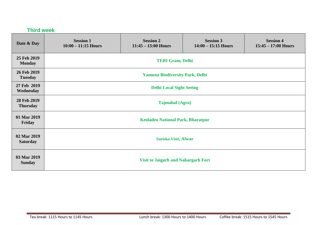| <b>Third week</b>              |                                            |                                           |                                           |                                           |
|--------------------------------|--------------------------------------------|-------------------------------------------|-------------------------------------------|-------------------------------------------|
| Date & Day                     | <b>Session 1</b><br>$10:00 - 11:15$ Hours  | <b>Session 2</b><br>$11:45 - 13:00$ Hours | <b>Session 3</b><br>$14:00 - 15:15$ Hours | <b>Session 4</b><br>$15:45 - 17:00$ Hours |
| 25 Feb 2019<br><b>Monday</b>   | <b>TERI Gram, Delhi</b>                    |                                           |                                           |                                           |
| 26 Feb 2019<br><b>Tuesday</b>  | <b>Yamuna Biodiversity Park, Delhi</b>     |                                           |                                           |                                           |
| 27 Feb 2019<br>Wednesday       | <b>Delhi Local Sight Seeing</b>            |                                           |                                           |                                           |
| 28 Feb 2019<br><b>Thursday</b> | <b>Tajmahal (Agra)</b>                     |                                           |                                           |                                           |
| 01 Mar 2019<br>Friday          | <b>Keoladeo National Park, Bharatpur</b>   |                                           |                                           |                                           |
| 02 Mar 2019<br><b>Saturday</b> | Sariska Visit, Alwar                       |                                           |                                           |                                           |
| 03 Mar 2019<br><b>Sunday</b>   | <b>Visit to Jaigarh and Nahargarh Fort</b> |                                           |                                           |                                           |